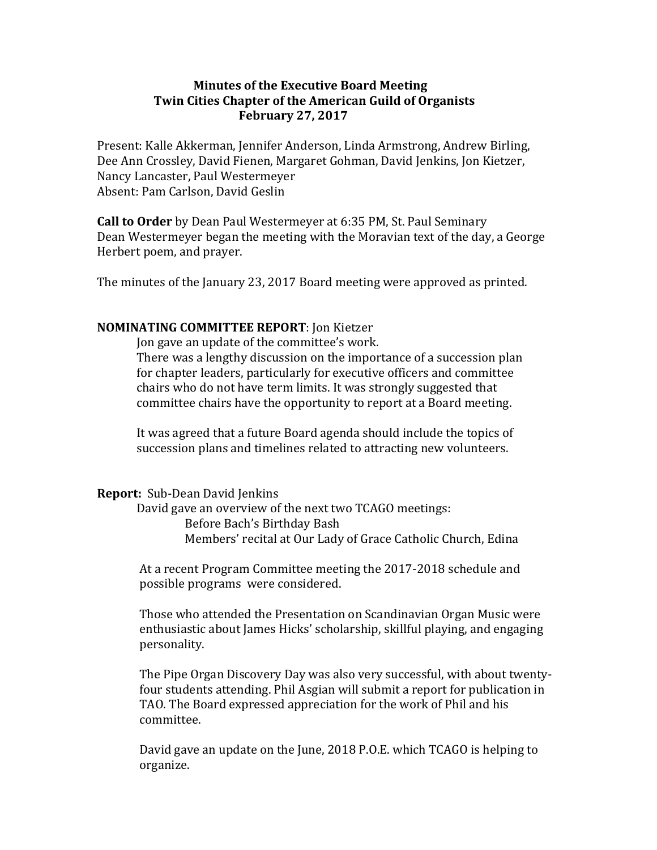## **Minutes of the Executive Board Meeting Twin Cities Chapter of the American Guild of Organists February 27, 2017**

Present: Kalle Akkerman, Jennifer Anderson, Linda Armstrong, Andrew Birling, Dee Ann Crossley, David Fienen, Margaret Gohman, David Jenkins, Jon Kietzer, Nancy Lancaster, Paul Westermeyer Absent: Pam Carlson, David Geslin

**Call to Order** by Dean Paul Westermeyer at 6:35 PM, St. Paul Seminary Dean Westermeyer began the meeting with the Moravian text of the day, a George Herbert poem, and prayer.

The minutes of the January 23, 2017 Board meeting were approved as printed.

## **NOMINATING COMMITTEE REPORT:** Jon Kietzer

Jon gave an update of the committee's work. There was a lengthy discussion on the importance of a succession plan for chapter leaders, particularly for executive officers and committee chairs who do not have term limits. It was strongly suggested that committee chairs have the opportunity to report at a Board meeting.

It was agreed that a future Board agenda should include the topics of succession plans and timelines related to attracting new volunteers.

## **Report:** Sub-Dean David Jenkins

David gave an overview of the next two TCAGO meetings: Before Bach's Birthday Bash Members' recital at Our Lady of Grace Catholic Church, Edina

At a recent Program Committee meeting the 2017-2018 schedule and possible programs were considered.

Those who attended the Presentation on Scandinavian Organ Music were enthusiastic about James Hicks' scholarship, skillful playing, and engaging personality.

The Pipe Organ Discovery Day was also very successful, with about twentyfour students attending. Phil Asgian will submit a report for publication in TAO. The Board expressed appreciation for the work of Phil and his committee.

David gave an update on the June, 2018 P.O.E. which TCAGO is helping to organize.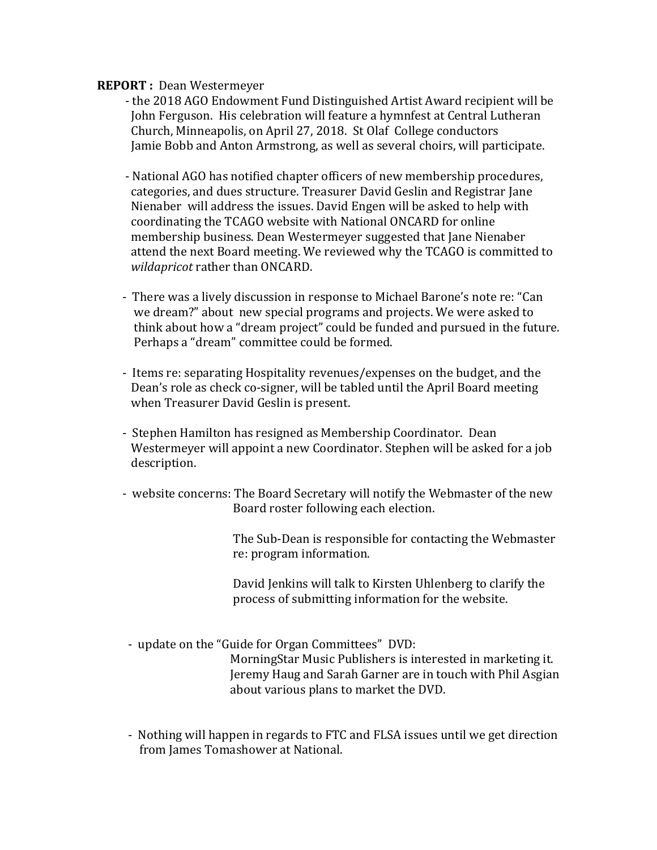## **REPORT** : Dean Westermeyer

- the 2018 AGO Endowment Fund Distinguished Artist Award recipient will be John Ferguson. His celebration will feature a hymnfest at Central Lutheran Church, Minneapolis, on April 27, 2018. St Olaf College conductors Jamie Bobb and Anton Armstrong, as well as several choirs, will participate.
- National AGO has notified chapter officers of new membership procedures, categories, and dues structure. Treasurer David Geslin and Registrar Jane Nienaber will address the issues. David Engen will be asked to help with coordinating the TCAGO website with National ONCARD for online membership business. Dean Westermeyer suggested that Jane Nienaber attend the next Board meeting. We reviewed why the TCAGO is committed to *wildapricot* rather than ONCARD.
- There was a lively discussion in response to Michael Barone's note re: "Can we dream?" about new special programs and projects. We were asked to think about how a "dream project" could be funded and pursued in the future. Perhaps a "dream" committee could be formed.
- Items re: separating Hospitality revenues/expenses on the budget, and the Dean's role as check co-signer, will be tabled until the April Board meeting when Treasurer David Geslin is present.
- Stephen Hamilton has resigned as Membership Coordinator. Dean Westermeyer will appoint a new Coordinator. Stephen will be asked for a job description.
- website concerns: The Board Secretary will notify the Webmaster of the new Board roster following each election.

The Sub-Dean is responsible for contacting the Webmaster re: program information.

David Jenkins will talk to Kirsten Uhlenberg to clarify the process of submitting information for the website.

- update on the "Guide for Organ Committees" DVD:

MorningStar Music Publishers is interested in marketing it. Jeremy Haug and Sarah Garner are in touch with Phil Asgian about various plans to market the DVD.

- Nothing will happen in regards to FTC and FLSA issues until we get direction from James Tomashower at National.